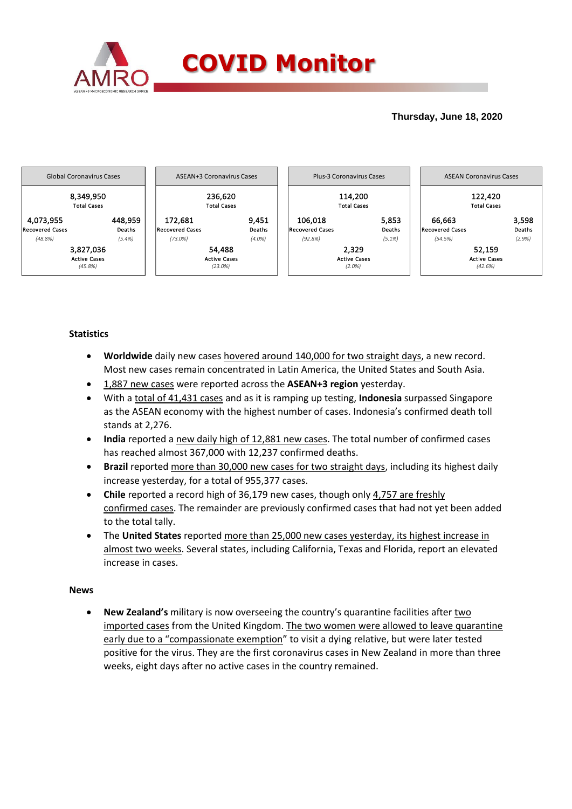

## **Thursday, June 18, 2020**



### **Statistics**

- **Worldwide** daily new cases hovered around 140,000 for two straight days, a new record. Most new cases remain concentrated in Latin America, the United States and South Asia.
- 1,887 new cases were reported across the **ASEAN+3 region** yesterday.
- With a total of 41,431 cases and as it is ramping up testing, **Indonesia** surpassed Singapore as the ASEAN economy with the highest number of cases. Indonesia's confirmed death toll stands at 2,276.
- **India** reported a new daily high of 12,881 new cases. The total number of confirmed cases has reached almost 367,000 with 12,237 confirmed deaths.
- **Brazil** reported more than 30,000 new cases for two straight days, including its highest daily increase yesterday, for a total of 955,377 cases.
- **Chile** reported a record high of 36,179 new cases, though only 4,757 are freshly confirmed cases. The remainder are previously confirmed cases that had not yet been added to the total tally.
- The **United States** reported more than 25,000 new cases yesterday, its highest increase in almost two weeks. Several states, including California, Texas and Florida, report an elevated increase in cases.

### **News**

**• New Zealand's** military is now overseeing the country's quarantine facilities after two imported cases from the United Kingdom. The two women were allowed to leave quarantine early due to a "compassionate exemption" to visit a dying relative, but were later tested positive for the virus. They are the first coronavirus cases in New Zealand in more than three weeks, eight days after no active cases in the country remained.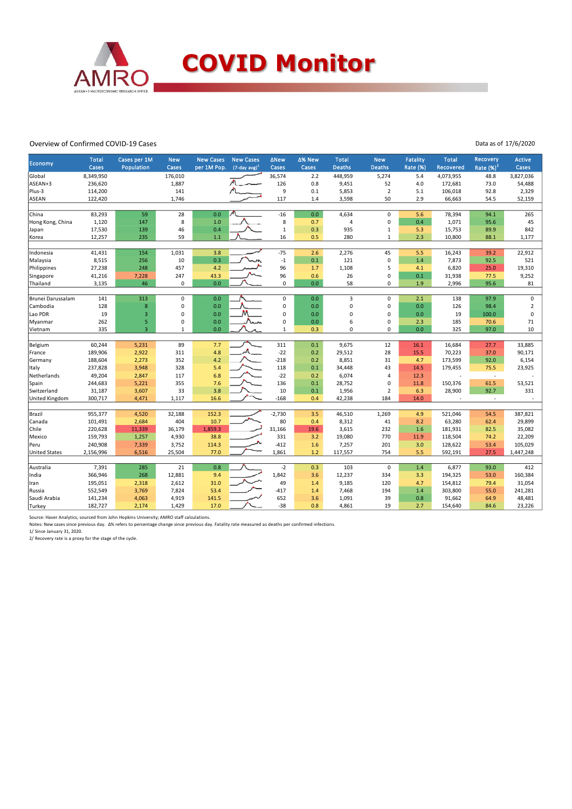

#### Overview of Confirmed COVID-19 Cases

Data as of 17/6/2020

| <b>Economy</b>       | <b>Total</b><br>Cases | Cases per 1M<br>Population | <b>New</b><br>Cases | <b>New Cases</b><br>per 1M Pop. | <b>New Cases</b><br>$(7$ -day avg) <sup>1</sup> | <b>ANew</b><br>Cases | ∆% New<br>Cases | <b>Total</b><br><b>Deaths</b> | <b>New</b><br><b>Deaths</b> | <b>Fatality</b><br>Rate (%) | <b>Total</b><br><b>Recovered</b> | <b>Recovery</b><br>Rate $(%)2$ | <b>Active</b><br>Cases |
|----------------------|-----------------------|----------------------------|---------------------|---------------------------------|-------------------------------------------------|----------------------|-----------------|-------------------------------|-----------------------------|-----------------------------|----------------------------------|--------------------------------|------------------------|
| Global               | 8,349,950             |                            | 176,010             |                                 |                                                 | 36,574               | 2.2             | 448,959                       | 5,274                       | 5.4                         | 4,073,955                        | 48.8                           | 3,827,036              |
| ASEAN+3              | 236,620               |                            | 1,887               |                                 |                                                 | 126                  | 0.8             | 9,451                         | 52                          | 4.0                         | 172,681                          | 73.0                           | 54,488                 |
| Plus-3               | 114,200               |                            | 141                 |                                 |                                                 | 9                    | 0.1             | 5,853                         | $\mathbf 2$                 | 5.1                         | 106,018                          | 92.8                           | 2,329                  |
| <b>ASEAN</b>         | 122,420               |                            | 1,746               |                                 |                                                 | 117                  | 1.4             | 3,598                         | 50                          | 2.9                         | 66,663                           | 54.5                           | 52,159                 |
|                      |                       |                            |                     |                                 |                                                 |                      |                 |                               |                             |                             |                                  |                                |                        |
| China                | 83,293                | 59                         | 28                  | 0.0                             |                                                 | $-16$                | 0.0             | 4,634                         | $\pmb{0}$                   | 5.6                         | 78,394                           | 94.1                           | 265                    |
| Hong Kong, China     | 1,120                 | 147                        | 8                   | 1.0                             |                                                 | 8                    | 0.7             | 4                             | 0                           | 0.4                         | 1,071                            | 95.6                           | 45                     |
| Japan                | 17,530                | 139                        | 46                  | 0.4                             |                                                 | $1\,$                | 0.3             | 935                           | $\mathbf 1$                 | 5.3                         | 15,753                           | 89.9                           | 842                    |
| Korea                | 12,257                | 235                        | 59                  | 1.1                             |                                                 | 16                   | 0.5             | 280                           | $\mathbf{1}$                | 2.3                         | 10,800                           | 88.1                           | 1,177                  |
|                      |                       |                            |                     |                                 |                                                 |                      |                 |                               |                             |                             |                                  |                                |                        |
| Indonesia            | 41,431                | 154                        | 1,031               | 3.8                             |                                                 | $-75$                | 2.6             | 2,276                         | 45                          | 5.5                         | 16,243                           | 39.2                           | 22,912                 |
| Malaysia             | 8,515                 | 256                        | 10                  | 0.3                             |                                                 | $-1$                 | 0.1             | 121                           | $\mathbf 0$                 | 1.4                         | 7,873                            | 92.5                           | 521                    |
| Philippines          | 27,238                | 248                        | 457                 | 4.2                             |                                                 | 96                   | 1.7             | 1,108                         | 5                           | 4.1                         | 6,820                            | 25.0                           | 19,310                 |
| Singapore            | 41,216                | 7,228                      | 247                 | 43.3                            |                                                 | 96                   | 0.6             | 26                            | 0                           | 0.1                         | 31,938                           | 77.5                           | 9,252                  |
| Thailand             | 3,135                 | 46                         | $\pmb{0}$           | 0.0                             |                                                 | $\mathbf 0$          | 0.0             | 58                            | 0                           | 1.9                         | 2,996                            | 95.6                           | 81                     |
|                      |                       |                            |                     |                                 |                                                 |                      |                 |                               |                             |                             |                                  |                                |                        |
| Brunei Darussalam    | 141                   | 313                        | $\pmb{0}$           | 0.0                             |                                                 | $\mathsf{O}\xspace$  | 0.0             | 3                             | $\pmb{0}$                   | 2.1                         | 138                              | 97.9                           | $\mathsf 0$            |
| Cambodia             | 128                   | 8                          | $\mathbf 0$         | 0.0                             | M                                               | $\mathbf 0$          | 0.0             | $\mathbf 0$                   | 0                           | 0.0                         | 126                              | 98.4                           | $\overline{2}$         |
| Lao PDR              | 19                    | 3                          | $\pmb{0}$           | 0.0                             |                                                 | $\mathbf 0$          | 0.0             | $\Omega$                      | $\mathbf 0$                 | 0.0                         | 19                               | 100.0                          | 0                      |
| Myanmar              | 262                   | 5                          | $\mathbf 0$         | 0.0                             | Nm                                              | 0                    | 0.0             | 6                             | $\mathbf 0$                 | 2.3                         | 185                              | 70.6                           | 71                     |
| Vietnam              | 335                   | $\overline{3}$             | $\mathbf 1$         | 0.0                             |                                                 | $\mathbf 1$          | 0.3             | $\Omega$                      | $\Omega$                    | 0.0                         | 325                              | 97.0                           | 10                     |
| Belgium              | 60,244                | 5,231                      | 89                  | 7.7                             |                                                 | 311                  | 0.1             | 9,675                         | 12                          | 16.1                        | 16,684                           | 27.7                           | 33,885                 |
| France               | 189,906               | 2,922                      | 311                 | 4.8                             |                                                 | $-22$                | 0.2             | 29,512                        | 28                          | 15.5                        | 70,223                           | 37.0                           | 90,171                 |
| Germany              | 188,604               | 2,273                      | 352                 | 4.2                             |                                                 | $-218$               | 0.2             | 8,851                         | 31                          | 4.7                         | 173,599                          | 92.0                           | 6,154                  |
| Italy                | 237,828               | 3,948                      | 328                 | 5.4                             |                                                 | 118                  | 0.1             | 34,448                        | 43                          | 14.5                        | 179,455                          | 75.5                           | 23,925                 |
| Netherlands          | 49,204                | 2,847                      | 117                 | 6.8                             |                                                 | $-22$                | 0.2             | 6,074                         | 4                           | 12.3                        |                                  | $\sim$                         |                        |
| Spain                | 244,683               | 5,221                      | 355                 | 7.6                             |                                                 | 136                  | 0.1             | 28,752                        | $\mathbf 0$                 | 11.8                        | 150,376                          | 61.5                           | 53,521                 |
| Switzerland          | 31,187                | 3,607                      | 33                  | 3.8                             |                                                 | 10                   | 0.1             | 1,956                         | $\overline{2}$              | 6.3                         | 28,900                           | 92.7                           | 331                    |
| United Kingdom       | 300,717               | 4,471                      | 1.117               | 16.6                            |                                                 | $-168$               | 0.4             | 42,238                        | 184                         | 14.0                        |                                  | $\blacksquare$                 | ÷.                     |
|                      |                       |                            |                     |                                 |                                                 |                      |                 |                               |                             |                             |                                  |                                |                        |
| Brazil               | 955,377               | 4,520                      | 32,188              | 152.3                           |                                                 | $-2,730$             | 3.5             | 46,510                        | 1,269                       | 4.9                         | 521,046                          | 54.5                           | 387,821                |
| Canada               | 101,491               | 2,684                      | 404                 | 10.7                            |                                                 | 80                   | 0.4             | 8,312                         | 41                          | 8.2                         | 63,280                           | 62.4                           | 29,899                 |
| Chile                | 220,628               | 11,339                     | 36,179              | 1,859.3                         |                                                 | 31,166               | 19.6            | 3,615                         | 232                         | 1.6                         | 181,931                          | 82.5                           | 35,082                 |
| Mexico               | 159,793               | 1,257                      | 4,930               | 38.8                            |                                                 | 331                  | 3.2             | 19,080                        | 770                         | 11.9                        | 118,504                          | 74.2                           | 22,209                 |
| Peru                 | 240,908               | 7,339                      | 3,752               | 114.3                           |                                                 | $-412$               | 1.6             | 7,257                         | 201                         | 3.0                         | 128,622                          | 53.4                           | 105,029                |
| <b>United States</b> | 2,156,996             | 6,516                      | 25,504              | 77.0                            |                                                 | 1,861                | 1.2             | 117,557                       | 754                         | 5.5                         | 592,191                          | 27.5                           | 1,447,248              |
|                      |                       |                            |                     |                                 |                                                 |                      |                 |                               |                             |                             |                                  |                                |                        |
| Australia            | 7,391                 | 285                        | 21                  | 0.8                             |                                                 | $-2$                 | 0.3             | 103                           | $\mathbf 0$                 | 1.4                         | 6,877                            | 93.0                           | 412                    |
| India                | 366,946               | 268                        | 12,881              | 9.4                             |                                                 | 1,842                | 3.6             | 12,237                        | 334                         | 3.3                         | 194,325                          | 53.0                           | 160,384                |
| Iran                 | 195,051               | 2,318                      | 2,612               | 31.0                            |                                                 | 49                   | 1.4             | 9,185                         | 120                         | 4.7                         | 154,812                          | 79.4                           | 31,054                 |
| Russia               | 552,549               | 3,769                      | 7,824               | 53.4                            |                                                 | $-417$               | 1.4             | 7,468                         | 194                         | 1.4                         | 303,800                          | 55.0                           | 241,281                |
| Saudi Arabia         | 141,234               | 4,063                      | 4,919               | 141.5                           |                                                 | 652                  | 3.6             | 1,091                         | 39                          | 0.8                         | 91,662                           | 64.9                           | 48,481                 |
| Turkey               | 182,727               | 2,174                      | 1,429               | 17.0                            |                                                 | $-38$                | 0.8             | 4,861                         | 19                          | 2.7                         | 154,640                          | 84.6                           | 23,226                 |

Source: Haver Analytics, sourced from John Hopkins University; AMRO staff calculations.

Notes: New cases since previous day. Δ% refers to percentage change since previous day. Fatality rate measured as deaths per confirmed infections.<br>1/ Since January 31, 2020.<br>2/ Recovery rate is a proxy for the stage of the